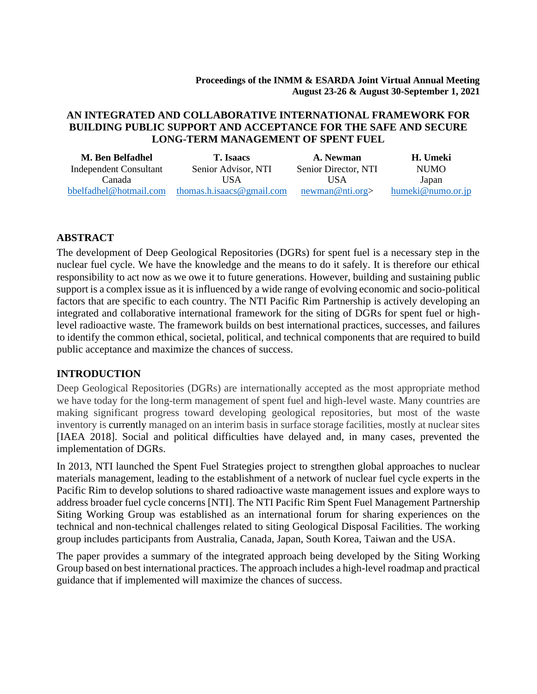#### **Proceedings of the INMM & ESARDA Joint Virtual Annual Meeting August 23-26 & August 30-September 1, 2021**

### **AN INTEGRATED AND COLLABORATIVE INTERNATIONAL FRAMEWORK FOR BUILDING PUBLIC SUPPORT AND ACCEPTANCE FOR THE SAFE AND SECURE LONG-TERM MANAGEMENT OF SPENT FUEL**

| M. Ben Belfadhel       | <b>T.</b> Isaacs          | A. Newman            | H. Umeki          |
|------------------------|---------------------------|----------------------|-------------------|
| Independent Consultant | Senior Advisor, NTI       | Senior Director, NTI | NUMO.             |
| Canada                 | USA                       | USA                  | Japan             |
| bbelfadhel@hotmail.com | thomas.h.isaacs@gmail.com | newman@nti.org       | humeki@numo.or.jp |

#### **ABSTRACT**

The development of Deep Geological Repositories (DGRs) for spent fuel is a necessary step in the nuclear fuel cycle. We have the knowledge and the means to do it safely. It is therefore our ethical responsibility to act now as we owe it to future generations. However, building and sustaining public support is a complex issue as it is influenced by a wide range of evolving economic and socio-political factors that are specific to each country. The NTI Pacific Rim Partnership is actively developing an integrated and collaborative international framework for the siting of DGRs for spent fuel or highlevel radioactive waste. The framework builds on best international practices, successes, and failures to identify the common ethical, societal, political, and technical components that are required to build public acceptance and maximize the chances of success.

#### **INTRODUCTION**

Deep Geological Repositories (DGRs) are internationally accepted as the most appropriate method we have today for the long-term management of spent fuel and high-level waste. Many countries are making significant progress toward developing geological repositories, but most of the waste inventory is currently managed on an interim basis in surface storage facilities, mostly at nuclear sites [IAEA 2018]. Social and political difficulties have delayed and, in many cases, prevented the implementation of DGRs.

In 2013, NTI launched the Spent Fuel Strategies project to strengthen global approaches to nuclear materials management, leading to the establishment of a network of nuclear fuel cycle experts in the Pacific Rim to develop solutions to shared radioactive waste management issues and explore ways to address broader fuel cycle concerns [NTI]. The NTI Pacific Rim Spent Fuel Management Partnership Siting Working Group was established as an international forum for sharing experiences on the technical and non-technical challenges related to siting Geological Disposal Facilities. The working group includes participants from Australia, Canada, Japan, South Korea, Taiwan and the USA.

The paper provides a summary of the integrated approach being developed by the Siting Working Group based on best international practices. The approach includes a high-level roadmap and practical guidance that if implemented will maximize the chances of success.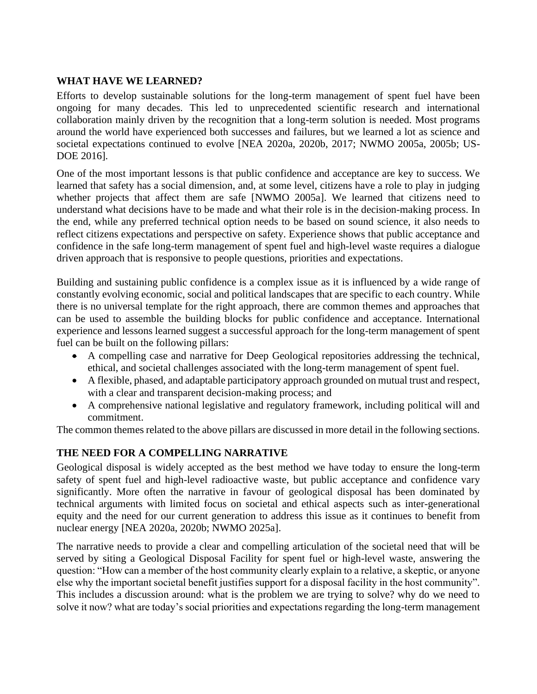## **WHAT HAVE WE LEARNED?**

Efforts to develop sustainable solutions for the long-term management of spent fuel have been ongoing for many decades. This led to unprecedented scientific research and international collaboration mainly driven by the recognition that a long-term solution is needed. Most programs around the world have experienced both successes and failures, but we learned a lot as science and societal expectations continued to evolve [NEA 2020a, 2020b, 2017; NWMO 2005a, 2005b; US-DOE 2016].

One of the most important lessons is that public confidence and acceptance are key to success. We learned that safety has a social dimension, and, at some level, citizens have a role to play in judging whether projects that affect them are safe [NWMO 2005a]. We learned that citizens need to understand what decisions have to be made and what their role is in the decision-making process. In the end, while any preferred technical option needs to be based on sound science, it also needs to reflect citizens expectations and perspective on safety. Experience shows that public acceptance and confidence in the safe long-term management of spent fuel and high-level waste requires a dialogue driven approach that is responsive to people questions, priorities and expectations.

Building and sustaining public confidence is a complex issue as it is influenced by a wide range of constantly evolving economic, social and political landscapes that are specific to each country. While there is no universal template for the right approach, there are common themes and approaches that can be used to assemble the building blocks for public confidence and acceptance. International experience and lessons learned suggest a successful approach for the long-term management of spent fuel can be built on the following pillars:

- A compelling case and narrative for Deep Geological repositories addressing the technical, ethical, and societal challenges associated with the long-term management of spent fuel.
- A flexible, phased, and adaptable participatory approach grounded on mutual trust and respect, with a clear and transparent decision-making process; and
- A comprehensive national legislative and regulatory framework, including political will and commitment.

The common themes related to the above pillars are discussed in more detail in the following sections.

### **THE NEED FOR A COMPELLING NARRATIVE**

Geological disposal is widely accepted as the best method we have today to ensure the long-term safety of spent fuel and high-level radioactive waste, but public acceptance and confidence vary significantly. More often the narrative in favour of geological disposal has been dominated by technical arguments with limited focus on societal and ethical aspects such as inter-generational equity and the need for our current generation to address this issue as it continues to benefit from nuclear energy [NEA 2020a, 2020b; NWMO 2025a].

The narrative needs to provide a clear and compelling articulation of the societal need that will be served by siting a Geological Disposal Facility for spent fuel or high-level waste, answering the question: "How can a member of the host community clearly explain to a relative, a skeptic, or anyone else why the important societal benefit justifies support for a disposal facility in the host community". This includes a discussion around: what is the problem we are trying to solve? why do we need to solve it now? what are today's social priorities and expectations regarding the long-term management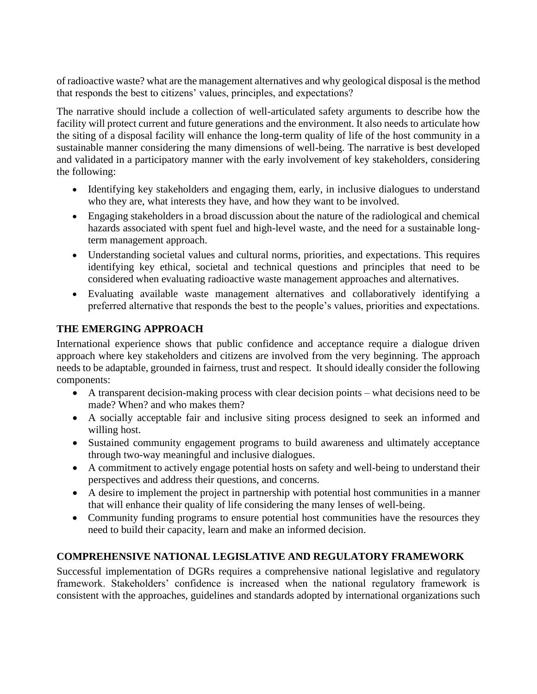of radioactive waste? what are the management alternatives and why geological disposal is the method that responds the best to citizens' values, principles, and expectations?

The narrative should include a collection of well-articulated safety arguments to describe how the facility will protect current and future generations and the environment. It also needs to articulate how the siting of a disposal facility will enhance the long-term quality of life of the host community in a sustainable manner considering the many dimensions of well-being. The narrative is best developed and validated in a participatory manner with the early involvement of key stakeholders, considering the following:

- Identifying key stakeholders and engaging them, early, in inclusive dialogues to understand who they are, what interests they have, and how they want to be involved.
- Engaging stakeholders in a broad discussion about the nature of the radiological and chemical hazards associated with spent fuel and high-level waste, and the need for a sustainable longterm management approach.
- Understanding societal values and cultural norms, priorities, and expectations. This requires identifying key ethical, societal and technical questions and principles that need to be considered when evaluating radioactive waste management approaches and alternatives.
- Evaluating available waste management alternatives and collaboratively identifying a preferred alternative that responds the best to the people's values, priorities and expectations.

## **THE EMERGING APPROACH**

International experience shows that public confidence and acceptance require a dialogue driven approach where key stakeholders and citizens are involved from the very beginning. The approach needs to be adaptable, grounded in fairness, trust and respect. It should ideally consider the following components:

- A transparent decision-making process with clear decision points what decisions need to be made? When? and who makes them?
- A socially acceptable fair and inclusive siting process designed to seek an informed and willing host.
- Sustained community engagement programs to build awareness and ultimately acceptance through two-way meaningful and inclusive dialogues.
- A commitment to actively engage potential hosts on safety and well-being to understand their perspectives and address their questions, and concerns.
- A desire to implement the project in partnership with potential host communities in a manner that will enhance their quality of life considering the many lenses of well-being.
- Community funding programs to ensure potential host communities have the resources they need to build their capacity, learn and make an informed decision.

# **COMPREHENSIVE NATIONAL LEGISLATIVE AND REGULATORY FRAMEWORK**

Successful implementation of DGRs requires a comprehensive national legislative and regulatory framework. Stakeholders' confidence is increased when the national regulatory framework is consistent with the approaches, guidelines and standards adopted by international organizations such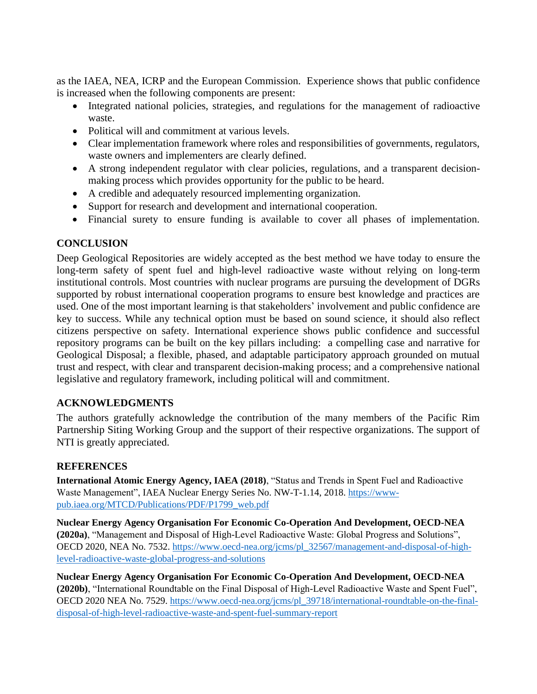as the IAEA, NEA, ICRP and the European Commission. Experience shows that public confidence is increased when the following components are present:

- Integrated national policies, strategies, and regulations for the management of radioactive waste.
- Political will and commitment at various levels.
- Clear implementation framework where roles and responsibilities of governments, regulators, waste owners and implementers are clearly defined.
- A strong independent regulator with clear policies, regulations, and a transparent decisionmaking process which provides opportunity for the public to be heard.
- A credible and adequately resourced implementing organization.
- Support for research and development and international cooperation.
- Financial surety to ensure funding is available to cover all phases of implementation.

## **CONCLUSION**

Deep Geological Repositories are widely accepted as the best method we have today to ensure the long-term safety of spent fuel and high-level radioactive waste without relying on long-term institutional controls. Most countries with nuclear programs are pursuing the development of DGRs supported by robust international cooperation programs to ensure best knowledge and practices are used. One of the most important learning is that stakeholders' involvement and public confidence are key to success. While any technical option must be based on sound science, it should also reflect citizens perspective on safety. International experience shows public confidence and successful repository programs can be built on the key pillars including: a compelling case and narrative for Geological Disposal; a flexible, phased, and adaptable participatory approach grounded on mutual trust and respect, with clear and transparent decision-making process; and a comprehensive national legislative and regulatory framework, including political will and commitment.

## **ACKNOWLEDGMENTS**

The authors gratefully acknowledge the contribution of the many members of the Pacific Rim Partnership Siting Working Group and the support of their respective organizations. The support of NTI is greatly appreciated.

### **REFERENCES**

**International Atomic Energy Agency, IAEA (2018)**, "Status and Trends in Spent Fuel and Radioactive Waste Management", IAEA Nuclear Energy Series No. NW-T-1.14, 2018. [https://www](https://www-pub.iaea.org/MTCD/Publications/PDF/P1799_web.pdf)[pub.iaea.org/MTCD/Publications/PDF/P1799\\_web.pdf](https://www-pub.iaea.org/MTCD/Publications/PDF/P1799_web.pdf)

**Nuclear Energy Agency Organisation For Economic Co-Operation And Development, OECD-NEA (2020a)**, "Management and Disposal of High-Level Radioactive Waste: Global Progress and Solutions", OECD 2020, NEA No. 7532. [https://www.oecd-nea.org/jcms/pl\\_32567/management-and-disposal-of-high](https://www.oecd-nea.org/jcms/pl_32567/management-and-disposal-of-high-level-radioactive-waste-global-progress-and-solutions)[level-radioactive-waste-global-progress-and-solutions](https://www.oecd-nea.org/jcms/pl_32567/management-and-disposal-of-high-level-radioactive-waste-global-progress-and-solutions)

**Nuclear Energy Agency Organisation For Economic Co-Operation And Development, OECD-NEA (2020b)**, "International Roundtable on the Final Disposal of High-Level Radioactive Waste and Spent Fuel", OECD 2020 NEA No. 7529. [https://www.oecd-nea.org/jcms/pl\\_39718/international-roundtable-on-the-final](https://www.oecd-nea.org/jcms/pl_39718/international-roundtable-on-the-final-disposal-of-high-level-radioactive-waste-and-spent-fuel-summary-report)[disposal-of-high-level-radioactive-waste-and-spent-fuel-summary-report](https://www.oecd-nea.org/jcms/pl_39718/international-roundtable-on-the-final-disposal-of-high-level-radioactive-waste-and-spent-fuel-summary-report)